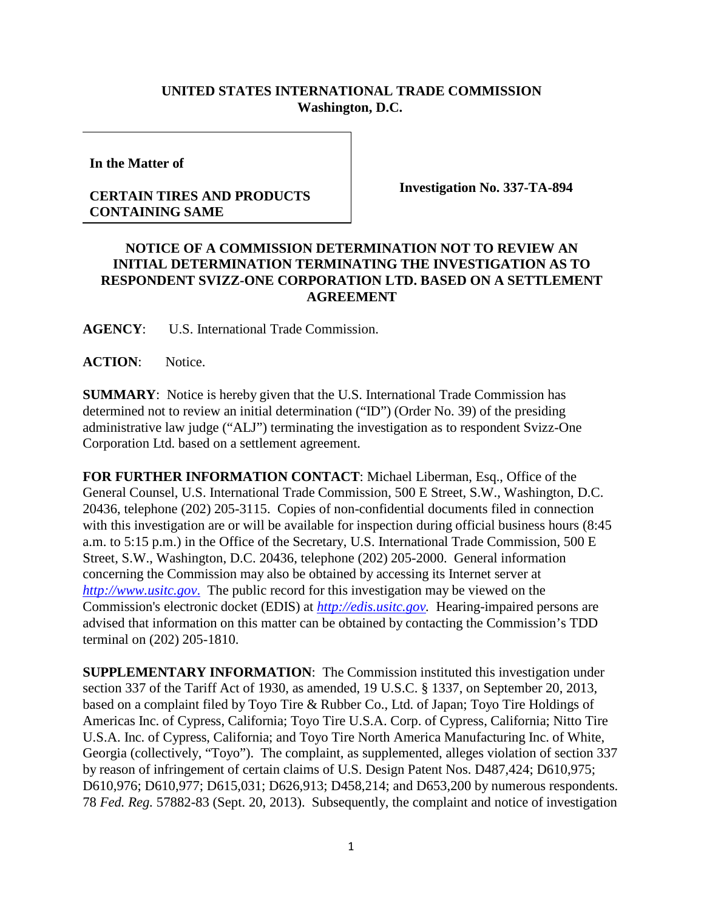## **UNITED STATES INTERNATIONAL TRADE COMMISSION Washington, D.C.**

**In the Matter of**

## **CERTAIN TIRES AND PRODUCTS CONTAINING SAME**

**Investigation No. 337-TA-894**

## **NOTICE OF A COMMISSION DETERMINATION NOT TO REVIEW AN INITIAL DETERMINATION TERMINATING THE INVESTIGATION AS TO RESPONDENT SVIZZ-ONE CORPORATION LTD. BASED ON A SETTLEMENT AGREEMENT**

**AGENCY**: U.S. International Trade Commission.

**ACTION**: Notice.

**SUMMARY**: Notice is hereby given that the U.S. International Trade Commission has determined not to review an initial determination ("ID") (Order No. 39) of the presiding administrative law judge ("ALJ") terminating the investigation as to respondent Svizz-One Corporation Ltd. based on a settlement agreement.

**FOR FURTHER INFORMATION CONTACT**: Michael Liberman, Esq., Office of the General Counsel, U.S. International Trade Commission, 500 E Street, S.W., Washington, D.C. 20436, telephone (202) 205-3115. Copies of non-confidential documents filed in connection with this investigation are or will be available for inspection during official business hours (8:45 a.m. to 5:15 p.m.) in the Office of the Secretary, U.S. International Trade Commission, 500 E Street, S.W., Washington, D.C. 20436, telephone (202) 205-2000. General information concerning the Commission may also be obtained by accessing its Internet server at *[http://www.usitc.gov](http://www.usitc.gov./)*. The public record for this investigation may be viewed on the Commission's electronic docket (EDIS) at *[http://edis.usitc.gov.](http://edis.usitc.gov/)* Hearing-impaired persons are advised that information on this matter can be obtained by contacting the Commission's TDD terminal on (202) 205-1810.

**SUPPLEMENTARY INFORMATION**: The Commission instituted this investigation under section 337 of the Tariff Act of 1930, as amended, 19 U.S.C. § 1337, on September 20, 2013, based on a complaint filed by Toyo Tire & Rubber Co., Ltd. of Japan; Toyo Tire Holdings of Americas Inc. of Cypress, California; Toyo Tire U.S.A. Corp. of Cypress, California; Nitto Tire U.S.A. Inc. of Cypress, California; and Toyo Tire North America Manufacturing Inc. of White, Georgia (collectively, "Toyo"). The complaint, as supplemented, alleges violation of section 337 by reason of infringement of certain claims of U.S. Design Patent Nos. D487,424; D610,975; D610,976; D610,977; D615,031; D626,913; D458,214; and D653,200 by numerous respondents. 78 *Fed. Reg.* 57882-83 (Sept. 20, 2013). Subsequently, the complaint and notice of investigation